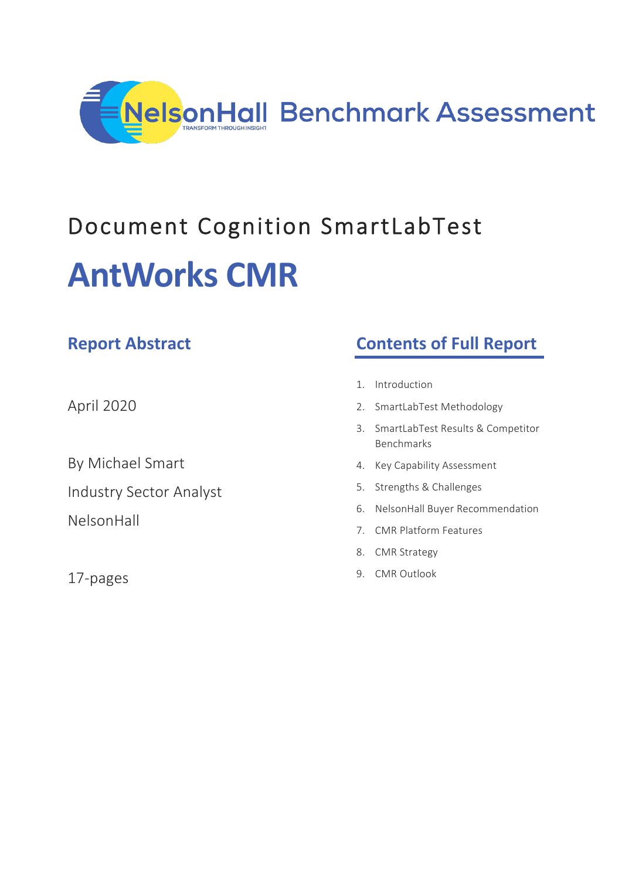

# Document Cognition SmartLabTest **AntWorks CMR**

| <b>Report Abstract</b>         |                | <b>Contents of Full Report</b>                         |
|--------------------------------|----------------|--------------------------------------------------------|
|                                | $\mathbf{1}$ . | Introduction                                           |
| April 2020                     | 2.             | SmartLabTest Methodology                               |
|                                | 3.             | SmartLabTest Results & Competitor<br><b>Benchmarks</b> |
| By Michael Smart               | 4.             | Key Capability Assessment                              |
| <b>Industry Sector Analyst</b> | 5.             | Strengths & Challenges                                 |
| NelsonHall                     | 6.             | NelsonHall Buyer Recommendation                        |
|                                | 7.             | <b>CMR Platform Features</b>                           |
|                                | 8.             | <b>CMR Strategy</b>                                    |
| 17-pages                       | 9.             | <b>CMR Outlook</b>                                     |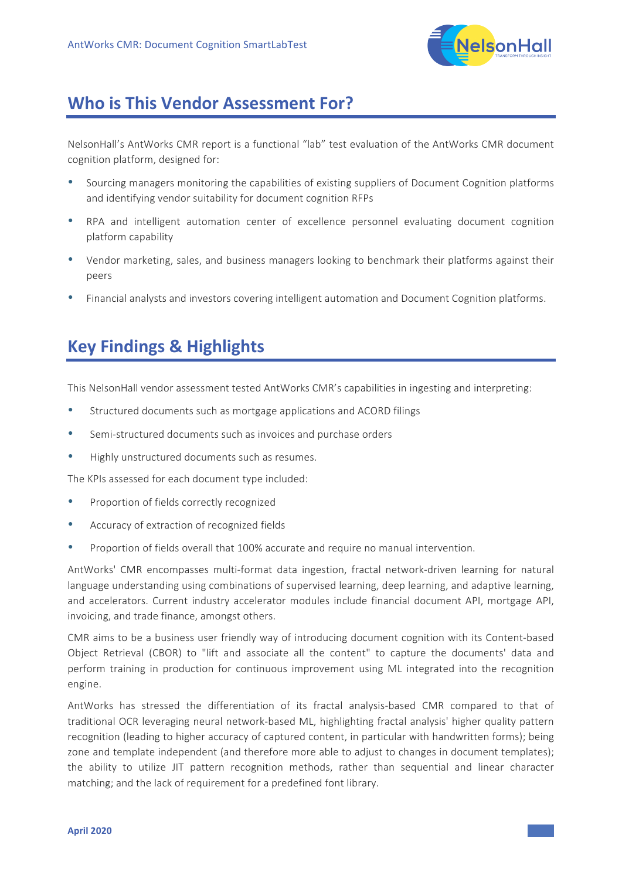

## **Who is This Vendor Assessment For?**

NelsonHall's AntWorks CMR report is a functional "lab" test evaluation of the AntWorks CMR document cognition platform, designed for:

- Sourcing managers monitoring the capabilities of existing suppliers of Document Cognition platforms and identifying vendor suitability for document cognition RFPs
- RPA and intelligent automation center of excellence personnel evaluating document cognition platform capability
- Vendor marketing, sales, and business managers looking to benchmark their platforms against their peers
- Financial analysts and investors covering intelligent automation and Document Cognition platforms.

## **Key Findings & Highlights**

This NelsonHall vendor assessment tested AntWorks CMR's capabilities in ingesting and interpreting:

- Structured documents such as mortgage applications and ACORD filings
- Semi-structured documents such as invoices and purchase orders
- Highly unstructured documents such as resumes.

The KPIs assessed for each document type included:

- Proportion of fields correctly recognized
- Accuracy of extraction of recognized fields
- Proportion of fields overall that 100% accurate and require no manual intervention.

AntWorks' CMR encompasses multi-format data ingestion, fractal network-driven learning for natural language understanding using combinations of supervised learning, deep learning, and adaptive learning, and accelerators. Current industry accelerator modules include financial document API, mortgage API, invoicing, and trade finance, amongst others.

CMR aims to be a business user friendly way of introducing document cognition with its Content-based Object Retrieval (CBOR) to "lift and associate all the content" to capture the documents' data and perform training in production for continuous improvement using ML integrated into the recognition engine.

AntWorks has stressed the differentiation of its fractal analysis-based CMR compared to that of traditional OCR leveraging neural network-based ML, highlighting fractal analysis' higher quality pattern recognition (leading to higher accuracy of captured content, in particular with handwritten forms); being zone and template independent (and therefore more able to adjust to changes in document templates); the ability to utilize JIT pattern recognition methods, rather than sequential and linear character matching; and the lack of requirement for a predefined font library.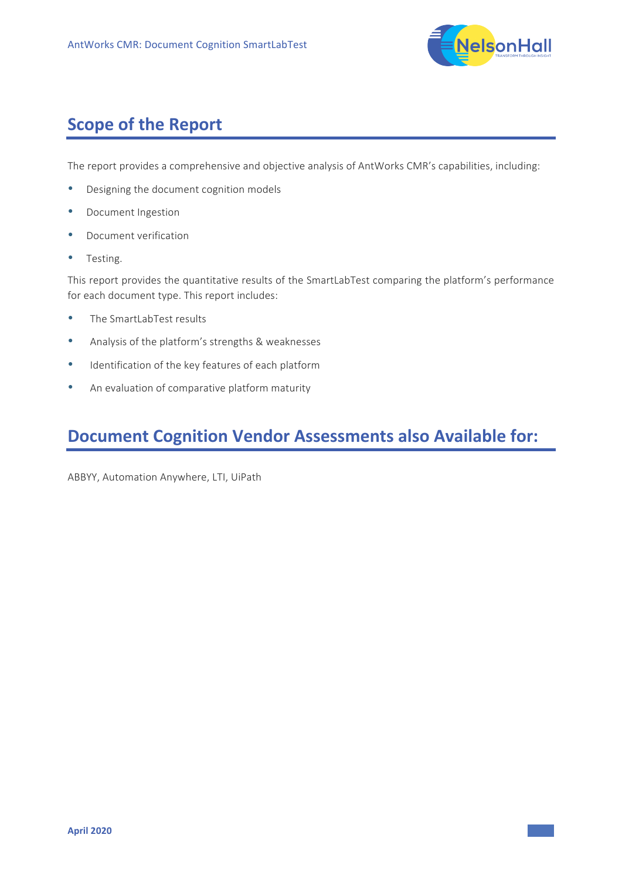

# **Scope of the Report**

The report provides a comprehensive and objective analysis of AntWorks CMR's capabilities, including:

- Designing the document cognition models
- Document Ingestion
- Document verification
- Testing.

This report provides the quantitative results of the SmartLabTest comparing the platform's performance for each document type. This report includes:

- The SmartLabTest results
- Analysis of the platform's strengths & weaknesses
- Identification of the key features of each platform
- An evaluation of comparative platform maturity

# **Document Cognition Vendor Assessments also Available for:**

ABBYY, Automation Anywhere, LTI, UiPath